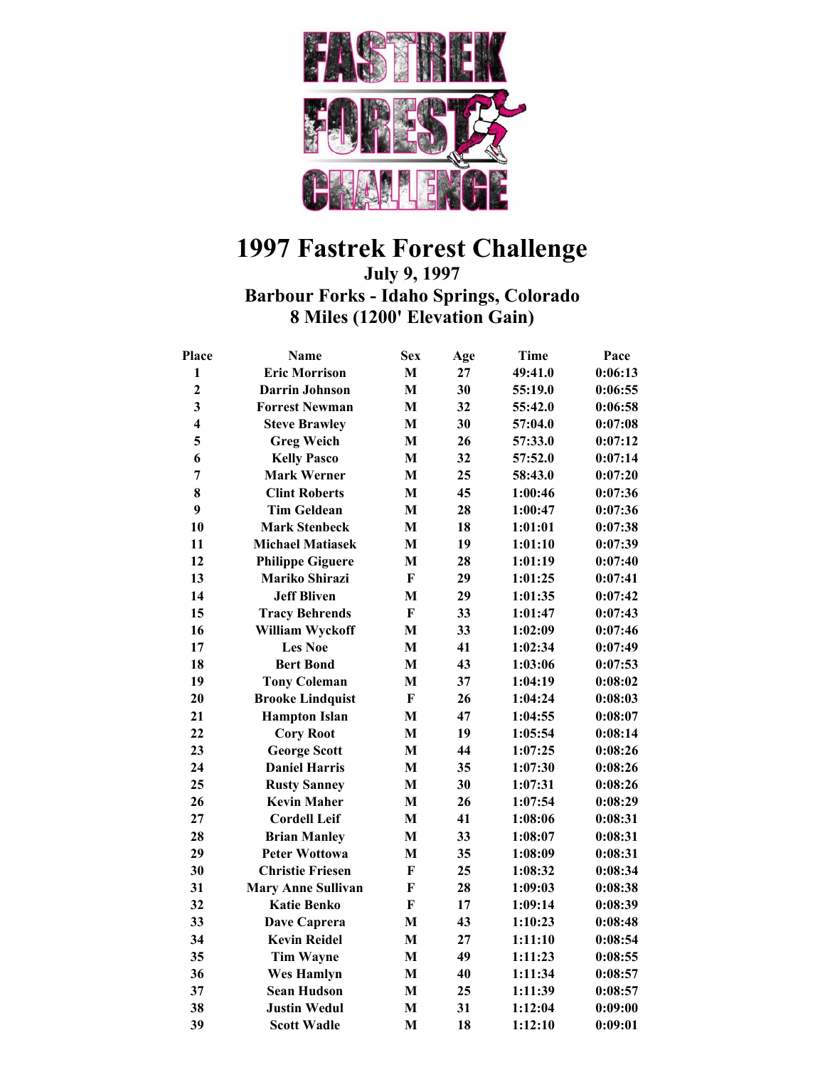

## **1997 Fastrek Forest Challenge**

**July 9, 1997** 

**Barbour Forks - Idaho Springs, Colorado 8 Miles (1200' Elevation Gain)** 

| <b>Place</b>            | <b>Name</b>               | <b>Sex</b>   | Age | Time    | Pace    |
|-------------------------|---------------------------|--------------|-----|---------|---------|
| $\mathbf{1}$            | <b>Eric Morrison</b>      | $\mathbf{M}$ | 27  | 49:41.0 | 0:06:13 |
| $\overline{2}$          | <b>Darrin Johnson</b>     | M            | 30  | 55:19.0 | 0:06:55 |
| $\overline{\mathbf{3}}$ | <b>Forrest Newman</b>     | $\mathbf{M}$ | 32  | 55:42.0 | 0:06:58 |
| $\overline{\mathbf{4}}$ | <b>Steve Brawley</b>      | $\mathbf{M}$ | 30  | 57:04.0 | 0:07:08 |
| 5                       | <b>Greg Weich</b>         | $\mathbf M$  | 26  | 57:33.0 | 0:07:12 |
| 6                       | <b>Kelly Pasco</b>        | $\mathbf{M}$ | 32  | 57:52.0 | 0:07:14 |
| 7                       | <b>Mark Werner</b>        | $\mathbf{M}$ | 25  | 58:43.0 | 0:07:20 |
| 8                       | <b>Clint Roberts</b>      | M            | 45  | 1:00:46 | 0:07:36 |
| 9                       | <b>Tim Geldean</b>        | $\mathbf{M}$ | 28  | 1:00:47 | 0:07:36 |
| 10                      | <b>Mark Stenbeck</b>      | $\mathbf{M}$ | 18  | 1:01:01 | 0:07:38 |
| 11                      | <b>Michael Matiasek</b>   | $\mathbf{M}$ | 19  | 1:01:10 | 0:07:39 |
| 12                      | <b>Philippe Giguere</b>   | $\mathbf{M}$ | 28  | 1:01:19 | 0:07:40 |
| 13                      | Mariko Shirazi            | $\mathbf{F}$ | 29  | 1:01:25 | 0:07:41 |
| 14                      | <b>Jeff Bliven</b>        | M            | 29  | 1:01:35 | 0:07:42 |
| 15                      | <b>Tracy Behrends</b>     | $\mathbf{F}$ | 33  | 1:01:47 | 0:07:43 |
| 16                      | William Wyckoff           | M            | 33  | 1:02:09 | 0:07:46 |
| 17                      | <b>Les Noe</b>            | $\mathbf{M}$ | 41  | 1:02:34 | 0:07:49 |
| 18                      | <b>Bert Bond</b>          | $\mathbf{M}$ | 43  | 1:03:06 | 0:07:53 |
| 19                      | <b>Tony Coleman</b>       | $\mathbf{M}$ | 37  | 1:04:19 | 0:08:02 |
| 20                      | <b>Brooke Lindquist</b>   | $\mathbf{F}$ | 26  | 1:04:24 | 0:08:03 |
| 21                      | <b>Hampton Islan</b>      | $\mathbf{M}$ | 47  | 1:04:55 | 0:08:07 |
| 22                      | <b>Cory Root</b>          | $\mathbf{M}$ | 19  | 1:05:54 | 0:08:14 |
| 23                      | <b>George Scott</b>       | $\mathbf{M}$ | 44  | 1:07:25 | 0:08:26 |
| 24                      | <b>Daniel Harris</b>      | $\mathbf{M}$ | 35  | 1:07:30 | 0:08:26 |
| 25                      | <b>Rusty Sanney</b>       | $\mathbf{M}$ | 30  | 1:07:31 | 0:08:26 |
| 26                      | <b>Kevin Maher</b>        | M            | 26  | 1:07:54 | 0:08:29 |
| 27                      | <b>Cordell Leif</b>       | $\mathbf M$  | 41  | 1:08:06 | 0:08:31 |
| 28                      | <b>Brian Manley</b>       | $\mathbf{M}$ | 33  | 1:08:07 | 0:08:31 |
| 29                      | <b>Peter Wottowa</b>      | M            | 35  | 1:08:09 | 0:08:31 |
| 30                      | <b>Christie Friesen</b>   | $\mathbf{F}$ | 25  | 1:08:32 | 0:08:34 |
| 31                      | <b>Mary Anne Sullivan</b> | $\mathbf{F}$ | 28  | 1:09:03 | 0:08:38 |
| 32                      | <b>Katie Benko</b>        | F            | 17  | 1:09:14 | 0:08:39 |
| 33                      | Dave Caprera              | M            | 43  | 1:10:23 | 0:08:48 |
| 34                      | <b>Kevin Reidel</b>       | $\mathbf{M}$ | 27  | 1:11:10 | 0:08:54 |
| 35                      | <b>Tim Wayne</b>          | $\mathbf{M}$ | 49  | 1:11:23 | 0:08:55 |
| 36                      | <b>Wes Hamlyn</b>         | $\mathbf{M}$ | 40  | 1:11:34 | 0:08:57 |
| 37                      | <b>Sean Hudson</b>        | M            | 25  | 1:11:39 | 0:08:57 |
| 38                      | <b>Justin Wedul</b>       | M            | 31  | 1:12:04 | 0:09:00 |
| 39                      | <b>Scott Wadle</b>        | M            | 18  | 1:12:10 | 0:09:01 |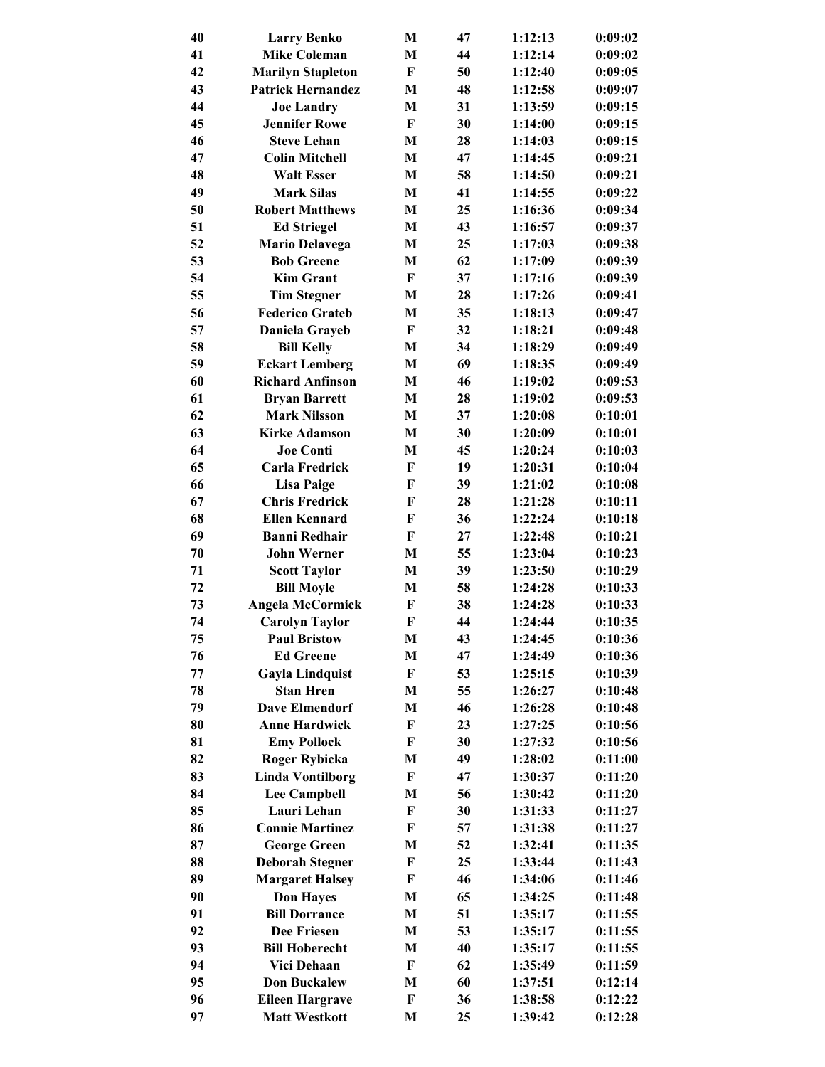| 40 | <b>Larry Benko</b>       | M                         | 47 | 1:12:13 | 0:09:02 |
|----|--------------------------|---------------------------|----|---------|---------|
| 41 | <b>Mike Coleman</b>      | M                         | 44 | 1:12:14 | 0:09:02 |
| 42 | <b>Marilyn Stapleton</b> | F                         | 50 | 1:12:40 | 0:09:05 |
| 43 | <b>Patrick Hernandez</b> | M                         | 48 | 1:12:58 | 0:09:07 |
| 44 | <b>Joe Landry</b>        | M                         | 31 | 1:13:59 | 0:09:15 |
| 45 | <b>Jennifer Rowe</b>     | $\bf F$                   | 30 | 1:14:00 | 0:09:15 |
| 46 | <b>Steve Lehan</b>       | M                         | 28 | 1:14:03 | 0:09:15 |
| 47 | <b>Colin Mitchell</b>    | M                         | 47 | 1:14:45 | 0:09:21 |
| 48 | <b>Walt Esser</b>        | M                         | 58 | 1:14:50 | 0:09:21 |
| 49 | <b>Mark Silas</b>        | M                         | 41 | 1:14:55 | 0:09:22 |
| 50 | <b>Robert Matthews</b>   | M                         | 25 | 1:16:36 | 0:09:34 |
| 51 | <b>Ed Striegel</b>       | M                         | 43 | 1:16:57 | 0:09:37 |
| 52 | <b>Mario Delavega</b>    | M                         | 25 | 1:17:03 | 0:09:38 |
| 53 | <b>Bob Greene</b>        | M                         | 62 | 1:17:09 | 0:09:39 |
| 54 | <b>Kim Grant</b>         | $\bf F$                   | 37 | 1:17:16 | 0:09:39 |
| 55 | <b>Tim Stegner</b>       | M                         | 28 | 1:17:26 | 0:09:41 |
| 56 | <b>Federico Grateb</b>   | M                         | 35 | 1:18:13 | 0:09:47 |
| 57 | Daniela Grayeb           | $\bf F$                   | 32 | 1:18:21 | 0:09:48 |
| 58 | <b>Bill Kelly</b>        | M                         | 34 | 1:18:29 | 0:09:49 |
| 59 | <b>Eckart Lemberg</b>    | M                         | 69 | 1:18:35 | 0:09:49 |
| 60 | <b>Richard Anfinson</b>  | M                         | 46 | 1:19:02 | 0:09:53 |
| 61 | <b>Bryan Barrett</b>     | M                         | 28 |         | 0:09:53 |
| 62 | <b>Mark Nilsson</b>      |                           | 37 | 1:19:02 | 0:10:01 |
| 63 |                          | M                         |    | 1:20:08 |         |
|    | <b>Kirke Adamson</b>     | M                         | 30 | 1:20:09 | 0:10:01 |
| 64 | <b>Joe Conti</b>         | M                         | 45 | 1:20:24 | 0:10:03 |
| 65 | Carla Fredrick           | $\bf F$                   | 19 | 1:20:31 | 0:10:04 |
| 66 | <b>Lisa Paige</b>        | F                         | 39 | 1:21:02 | 0:10:08 |
| 67 | <b>Chris Fredrick</b>    | F                         | 28 | 1:21:28 | 0:10:11 |
| 68 | <b>Ellen Kennard</b>     | F                         | 36 | 1:22:24 | 0:10:18 |
| 69 | <b>Banni Redhair</b>     | F                         | 27 | 1:22:48 | 0:10:21 |
| 70 | <b>John Werner</b>       | M                         | 55 | 1:23:04 | 0:10:23 |
| 71 | <b>Scott Taylor</b>      | M                         | 39 | 1:23:50 | 0:10:29 |
| 72 | <b>Bill Moyle</b>        | М                         | 58 | 1:24:28 | 0:10:33 |
| 73 | <b>Angela McCormick</b>  | $\bf F$                   | 38 | 1:24:28 | 0:10:33 |
| 74 | <b>Carolyn Taylor</b>    | $\boldsymbol{\mathrm{F}}$ | 44 | 1:24:44 | 0:10:35 |
| 75 | <b>Paul Bristow</b>      | M                         | 43 | 1:24:45 | 0:10:36 |
| 76 | <b>Ed Greene</b>         | M                         | 47 | 1:24:49 | 0:10:36 |
| 77 | <b>Gayla Lindquist</b>   | F                         | 53 | 1:25:15 | 0:10:39 |
| 78 | <b>Stan Hren</b>         | M                         | 55 | 1:26:27 | 0:10:48 |
| 79 | <b>Dave Elmendorf</b>    | M                         | 46 | 1:26:28 | 0:10:48 |
| 80 | <b>Anne Hardwick</b>     | F                         | 23 | 1:27:25 | 0:10:56 |
| 81 | <b>Emy Pollock</b>       | F                         | 30 | 1:27:32 | 0:10:56 |
| 82 | <b>Roger Rybicka</b>     | M                         | 49 | 1:28:02 | 0:11:00 |
| 83 | <b>Linda Vontilborg</b>  | $\mathbf F$               | 47 | 1:30:37 | 0:11:20 |
| 84 | <b>Lee Campbell</b>      | М                         | 56 | 1:30:42 | 0:11:20 |
| 85 | Lauri Lehan              | F                         | 30 | 1:31:33 | 0:11:27 |
| 86 | <b>Connie Martinez</b>   | F                         | 57 | 1:31:38 | 0:11:27 |
| 87 | <b>George Green</b>      | M                         | 52 | 1:32:41 | 0:11:35 |
| 88 | <b>Deborah Stegner</b>   | F                         | 25 | 1:33:44 | 0:11:43 |
| 89 | <b>Margaret Halsey</b>   | F                         | 46 | 1:34:06 | 0:11:46 |
| 90 | <b>Don Hayes</b>         | M                         | 65 | 1:34:25 | 0:11:48 |
| 91 | <b>Bill Dorrance</b>     | M                         | 51 | 1:35:17 | 0:11:55 |
| 92 | <b>Dee Friesen</b>       | M                         | 53 | 1:35:17 | 0:11:55 |
| 93 | <b>Bill Hoberecht</b>    | M                         | 40 | 1:35:17 | 0:11:55 |
| 94 | Vici Dehaan              | $\mathbf F$               | 62 | 1:35:49 | 0:11:59 |
| 95 | <b>Don Buckalew</b>      | M                         | 60 | 1:37:51 | 0:12:14 |
| 96 | <b>Eileen Hargrave</b>   | F                         | 36 | 1:38:58 | 0:12:22 |
| 97 | <b>Matt Westkott</b>     | M                         | 25 | 1:39:42 | 0:12:28 |